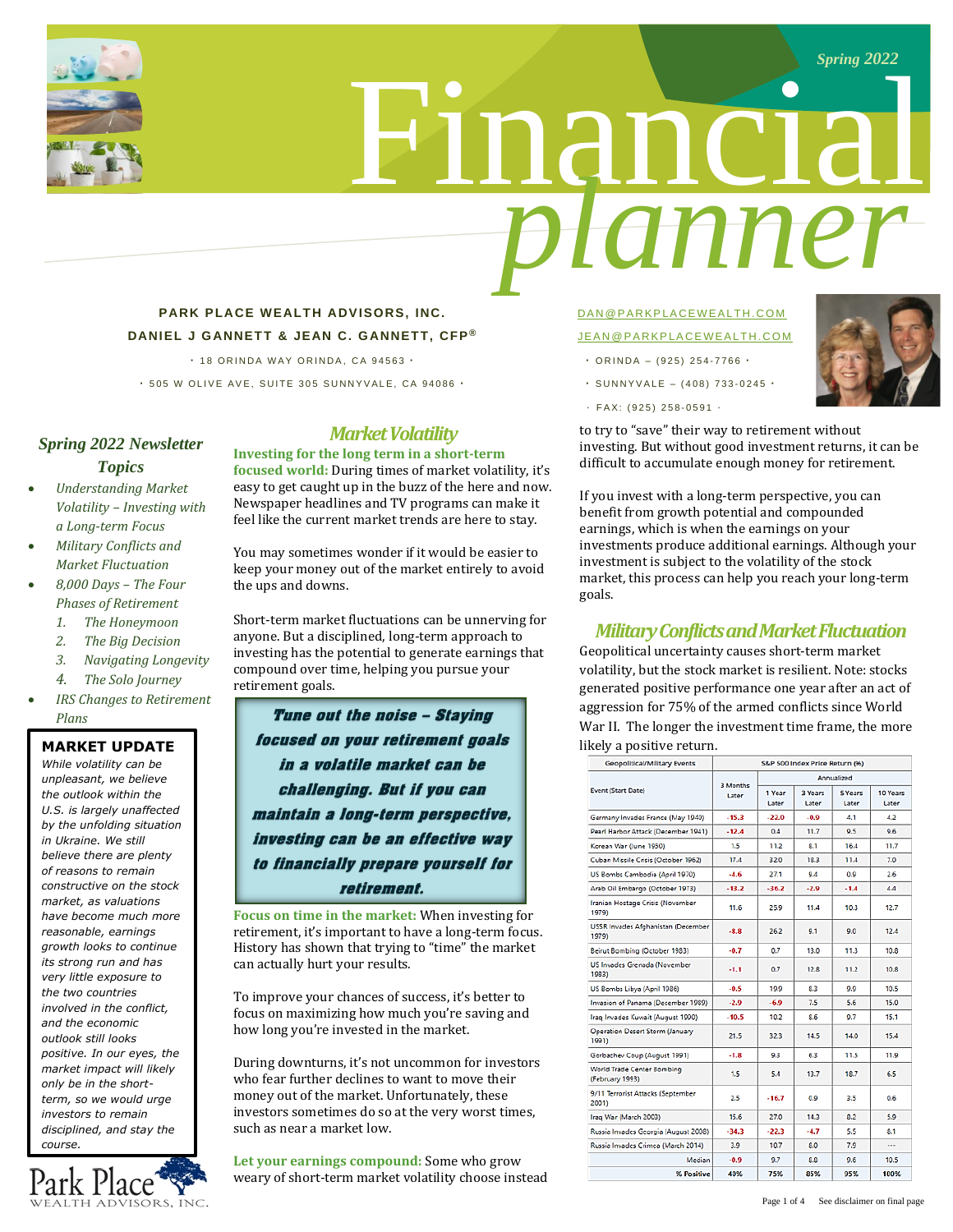

# Financial *planner*

## **PARK PLACE WEALTH ADVISORS, INC. DANIEL J GANNETT & JEAN C. GANNETT, CFP ®**

**·** 1 8 O R I N D A W A Y O R I N D A , C A 9 4 5 6 3 **·**

**·** 5 0 5 W O L I V E A V E , S U I T E 3 0 5 S U N N Y V A L E , C A 9 4 0 8 6 **·**

## *Spring 2022 Newsletter Topics*

- *Understanding Market Volatility – Investing with a Long-term Focus*
- *Military Conflicts and Market Fluctuation*
- *8,000 Days – The Four Phases of Retirement*
	- *1. The Honeymoon*
	- *2. The Big Decision*
	- *3. Navigating Longevity*
	- *4. The Solo Journey*
- *IRS Changes to Retirement Plans*

### **MARKET UPDATE**

*While volatility can be unpleasant, we believe the outlook within the U.S. is largely unaffected by the unfolding situation in Ukraine. We still believe there are plenty of reasons to remain constructive on the stock market, as valuations have become much more reasonable, earnings growth looks to continue its strong run and has very little exposure to the two countries involved in the conflict, and the economic outlook still looks positive. In our eyes, the market impact will likely only be in the shortterm, so we would urge investors to remain disciplined, and stay the course.*



# *Market Volatility*

**Investing for the long term in a short-term focused world:** During times of market volatility, it's easy to get caught up in the buzz of the here and now. Newspaper headlines and TV programs can make it feel like the current market trends are here to stay.

You may sometimes wonder if it would be easier to keep your money out of the market entirely to avoid the ups and downs.

Short-term market fluctuations can be unnerving for anyone. But a disciplined, long-term approach to investing has the potential to generate earnings that compound over time, helping you pursue your retirement goals.

Tune out the noise - Staying focused on your retirement goals in a volatile market can be challenging. But if you can maintain a long-term perspective, investing can be an effective way to financially prepare yourself for retirement.

**Focus on time in the market:** When investing for retirement, it's important to have a long-term focus. History has shown that trying to "time" the market can actually hurt your results.

To improve your chances of success, it's better to focus on maximizing how much you're saving and how long you're invested in the market.

During downturns, it's not uncommon for investors who fear further declines to want to move their money out of the market. Unfortunately, these investors sometimes do so at the very worst times, such as near a market low.

**Let your earnings compound:** Some who grow weary of short-term market volatility choose instead

## DAN @ PARKPLACEWEALTH.COM JEAN @ PARKPLACEWEALTH.COM

- $\cdot$  ORINDA (925) 254-7766  $\cdot$
- **·** S U N N Y V A L E ( 4 0 8 ) 733 0 2 4 5 **·**
- · F A X : ( 9 2 5 ) 258 0 5 9 1 ·

to try to "save" their way to retirement without investing. But without good investment returns, it can be difficult to accumulate enough money for retirement.

If you invest with a long-term perspective, you can benefit from growth potential and compounded earnings, which is when the earnings on your investments produce additional earnings. Although your investment is subject to the volatility of the stock market, this process can help you reach your long-term goals.

## *Military Conflicts and MarketFluctuation*

Geopolitical uncertainty causes short-term market volatility, but the stock market is resilient. Note: stocks generated positive performance one year after an act of aggression for 75% of the armed conflicts since World War II. The longer the investment time frame, the more likely a positive return.

| <b>Geopolitical/Military Events</b>           | S&P 500 Index Price Return (%) |                 |                  |                  |                   |
|-----------------------------------------------|--------------------------------|-----------------|------------------|------------------|-------------------|
| <b>Event (Start Date)</b>                     | 3 Months<br>Later              | Annualized      |                  |                  |                   |
|                                               |                                | 1 Year<br>Later | 3 Years<br>Later | 5 Years<br>Later | 10 Years<br>Later |
| Germany Invades France (May 1940)             | $-15.3$                        | $-22.0$         | -0.9             | 4.1              | 42                |
| Pearl Harbor Attack (December 1941)           | $-12.4$                        | 0.4             | 11.7             | 9.5              | 9.6               |
| Korean War (June 1950)                        | 1.5                            | 11.2            | 8.1              | 16.4             | 11.7              |
| Cuban Missile Crisis (October 1962)           | 17.4                           | 32.0            | 18.3             | 11.4             | 7.0               |
| US Bombs Cambodia (April 1970)                | $-4.6$                         | 27.1            | 9.4              | 0.9              | 2.6               |
| Arab Oil Embargo (October 1973)               | $-13.2$                        | $-36.2$         | $-2.9$           | $-1.4$           | 4.4               |
| Iranian Hostage Crisis (November<br>1979)     | 11.6                           | 25.9            | 11.4             | 10.3             | 12.7              |
| USSR Invades Afghanistan (December<br>1979)   | $-8.8$                         | 26.2            | 9.1              | 9.0              | 12.4              |
| Beirut Bombing (October 1983)                 | $-0.7$                         | 0.7             | 13.0             | 11.3             | 10.8              |
| US Invades Grenada (November<br>1983)         | $-1.1$                         | 0.7             | 12.8             | 11.2             | 10.8              |
| US Bombs Libya (April 1986)                   | $-0.5$                         | 19.9            | 8.3              | 9.9              | 10.5              |
| Invasion of Panama (December 1989)            | $-2.9$                         | $-6.9$          | 7.5              | 5.6              | 15.0              |
| Iraq Invades Kuwait (August 1990)             | $-10.5$                        | 10.2            | 8.6              | 9.7              | 15.1              |
| Operation Desert Storm (January<br>1991)      | 21.5                           | 32.3            | 14.5             | 14.0             | 15.4              |
| Gorbachev Coup (August 1991)                  | $-1.8$                         | 9.3             | 6.3              | 11.5             | 11.9              |
| World Trade Center Bombing<br>(February 1993) | 1.5                            | 5.4             | 13.7             | 18.7             | 6.5               |
| 9/11 Terrorist Attacks (September<br>2001)    | 2.5                            | $-16.7$         | 0.9              | 3.5              | 0.6               |
| Iraq War (March 2003)                         | 15.6                           | 27.0            | 14.3             | 8.2              | 5.9               |
| Russia Invades Georgia (August 2008)          | $-34.3$                        | $-22.3$         | $-4.7$           | 5.5              | 8.1               |
| Russia Invades Crimea (March 2014)            | 3.9                            | 10.7            | 8.0              | 7.9              | $\cdots$          |
| Median                                        | $-0.9$                         | 9.7             | 8.8              | 9.6              | 10.5              |
| % Positive                                    | 40%                            | 75%             | 85%              | 95%              | 100%              |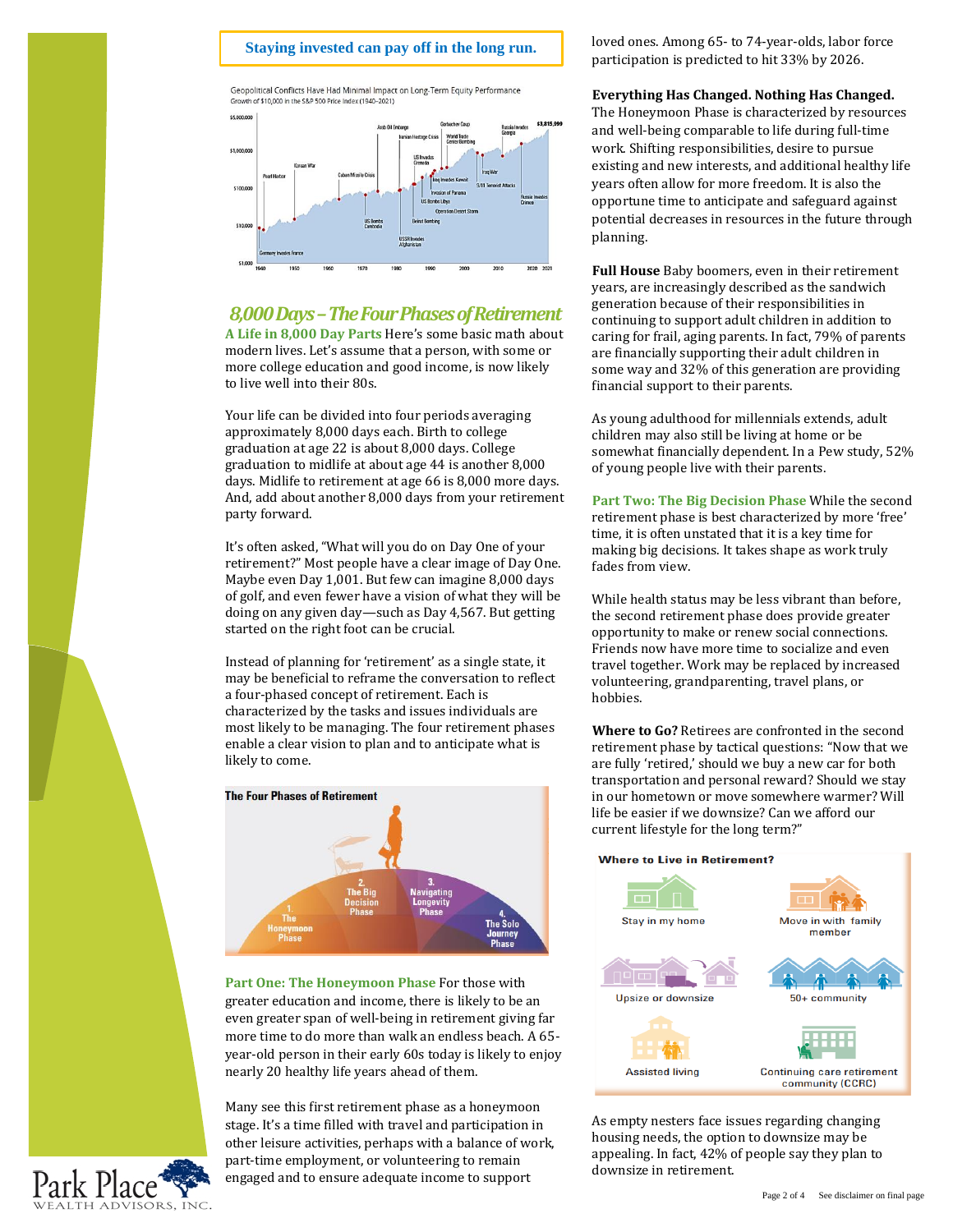## **Staying invested can pay off in the long run Staying invested can pay off in the long run.**

Geopolitical Conflicts Have Had Minimal Impact on Long-Term Equity Performance Growth of \$10,000 in the S&P 500 Price Index (1940-2021)



# *8,000 Days –The Four Phases of Retirement*

**A Life in 8,000 Day Parts** Here's some basic math about modern lives. Let's assume that a person, with some or more college education and good income, is now likely to live well into their 80s.

Your life can be divided into four periods averaging approximately 8,000 days each. Birth to college graduation at age 22 is about 8,000 days. College graduation to midlife at about age 44 is another 8,000 days. Midlife to retirement at age 66 is 8,000 more days. And, add about another 8,000 days from your retirement party forward.

It's often asked, "What will you do on Day One of your retirement?" Most people have a clear image of Day One. Maybe even Day 1,001. But few can imagine 8,000 days of golf, and even fewer have a vision of what they will be doing on any given day—such as Day 4,567. But getting started on the right foot can be crucial.

Instead of planning for 'retirement' as a single state, it may be beneficial to reframe the conversation to reflect a four-phased concept of retirement. Each is characterized by the tasks and issues individuals are most likely to be managing. The four retirement phases enable a clear vision to plan and to anticipate what is likely to come.



**Part One: The Honeymoon Phase** For those with greater education and income, there is likely to be an even greater span of well-being in retirement giving far more time to do more than walk an endless beach. A 65 year-old person in their early 60s today is likely to enjoy nearly 20 healthy life years ahead of them.

Many see this first retirement phase as a honeymoon stage. It's a time filled with travel and participation in other leisure activities, perhaps with a balance of work, part-time employment, or volunteering to remain engaged and to ensure adequate income to support

loved ones. Among 65- to 74-year-olds, labor force participation is predicted to hit 33% by 2026.

#### **Everything Has Changed. Nothing Has Changed.**

The Honeymoon Phase is characterized by resources and well-being comparable to life during full-time work. Shifting responsibilities, desire to pursue existing and new interests, and additional healthy life years often allow for more freedom. It is also the opportune time to anticipate and safeguard against potential decreases in resources in the future through planning.

**Full House** Baby boomers, even in their retirement years, are increasingly described as the sandwich generation because of their responsibilities in continuing to support adult children in addition to caring for frail, aging parents. In fact, 79% of parents are financially supporting their adult children in some way and 32% of this generation are providing financial support to their parents.

As young adulthood for millennials extends, adult children may also still be living at home or be somewhat financially dependent. In a Pew study, 52% of young people live with their parents.

**Part Two: The Big Decision Phase** While the second retirement phase is best characterized by more 'free' time, it is often unstated that it is a key time for making big decisions. It takes shape as work truly fades from view.

While health status may be less vibrant than before, the second retirement phase does provide greater opportunity to make or renew social connections. Friends now have more time to socialize and even travel together. Work may be replaced by increased volunteering, grandparenting, travel plans, or hobbies.

**Where to Go?** Retirees are confronted in the second retirement phase by tactical questions: "Now that we are fully 'retired,' should we buy a new car for both transportation and personal reward? Should we stay in our hometown or move somewhere warmer? Will life be easier if we downsize? Can we afford our current lifestyle for the long term?"

#### **Where to Live in Retirement?**



As empty nesters face issues regarding changing housing needs, the option to downsize may be appealing. In fact, 42% of people say they plan to downsize in retirement.

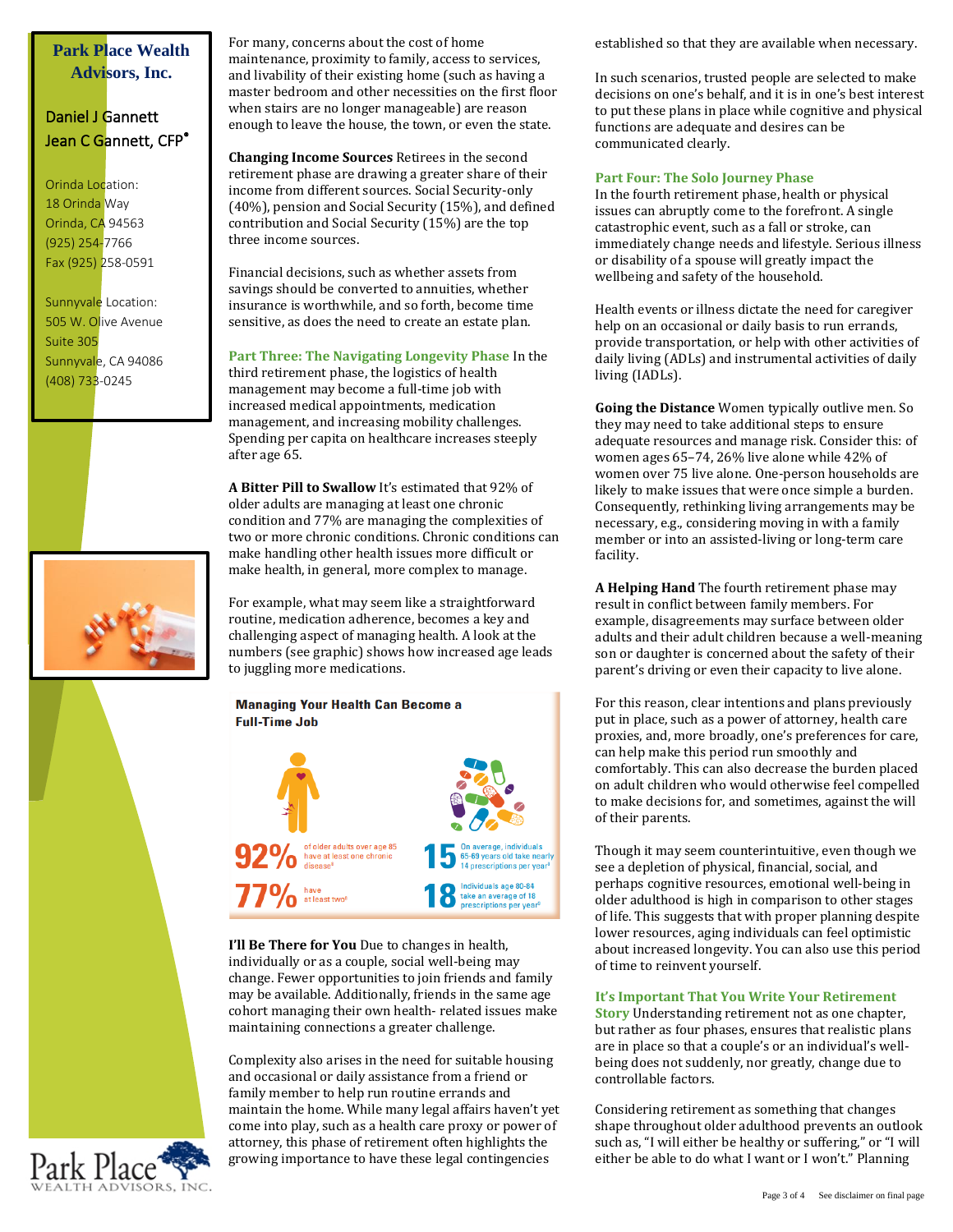## **Park Place Wealth Advisors, Inc.**

# Daniel J Gannett Jean C Gannett, CFP<sup>®</sup>

Orinda Location: 18 Orinda Way Orinda, CA 94563 (925) 254-7766 Fax (925) 258-0591

Sunnyvale Location: 505 W. Olive Avenue Suite 305 Sunnyvale, CA 94086 (408) 733-0245



For many, concerns about the cost of home maintenance, proximity to family, access to services, and livability of their existing home (such as having a master bedroom and other necessities on the first floor when stairs are no longer manageable) are reason enough to leave the house, the town, or even the state.

**Changing Income Sources** Retirees in the second retirement phase are drawing a greater share of their income from different sources. Social Security-only (40%), pension and Social Security (15%), and defined contribution and Social Security (15%) are the top three income sources.

Financial decisions, such as whether assets from savings should be converted to annuities, whether insurance is worthwhile, and so forth, become time sensitive, as does the need to create an estate plan.

#### **Part Three: The Navigating Longevity Phase** In the

third retirement phase, the logistics of health management may become a full-time job with increased medical appointments, medication management, and increasing mobility challenges. Spending per capita on healthcare increases steeply after age 65.

**A Bitter Pill to Swallow** It's estimated that 92% of older adults are managing at least one chronic condition and 77% are managing the complexities of two or more chronic conditions. Chronic conditions can make handling other health issues more difficult or make health, in general, more complex to manage.

For example, what may seem like a straightforward routine, medication adherence, becomes a key and challenging aspect of managing health. A look at the numbers (see graphic) shows how increased age leads to juggling more medications.



**I'll Be There for You** Due to changes in health, individually or as a couple, social well-being may change. Fewer opportunities to join friends and family may be available. Additionally, friends in the same age cohort managing their own health- related issues make maintaining connections a greater challenge.

Complexity also arises in the need for suitable housing and occasional or daily assistance from a friend or family member to help run routine errands and maintain the home. While many legal affairs haven't yet come into play, such as a health care proxy or power of attorney, this phase of retirement often highlights the growing importance to have these legal contingencies

established so that they are available when necessary.

In such scenarios, trusted people are selected to make decisions on one's behalf, and it is in one's best interest to put these plans in place while cognitive and physical functions are adequate and desires can be communicated clearly.

#### **Part Four: The Solo Journey Phase**

In the fourth retirement phase, health or physical issues can abruptly come to the forefront. A single catastrophic event, such as a fall or stroke, can immediately change needs and lifestyle. Serious illness or disability of a spouse will greatly impact the wellbeing and safety of the household.

Health events or illness dictate the need for caregiver help on an occasional or daily basis to run errands, provide transportation, or help with other activities of daily living (ADLs) and instrumental activities of daily living (IADLs).

**Going the Distance** Women typically outlive men. So they may need to take additional steps to ensure adequate resources and manage risk. Consider this: of women ages 65–74, 26% live alone while 42% of women over 75 live alone. One-person households are likely to make issues that were once simple a burden. Consequently, rethinking living arrangements may be necessary, e.g., considering moving in with a family member or into an assisted-living or long-term care facility.

**A Helping Hand** The fourth retirement phase may result in conflict between family members. For example, disagreements may surface between older adults and their adult children because a well-meaning son or daughter is concerned about the safety of their parent's driving or even their capacity to live alone.

For this reason, clear intentions and plans previously put in place, such as a power of attorney, health care proxies, and, more broadly, one's preferences for care, can help make this period run smoothly and comfortably. This can also decrease the burden placed on adult children who would otherwise feel compelled to make decisions for, and sometimes, against the will of their parents.

Though it may seem counterintuitive, even though we see a depletion of physical, financial, social, and perhaps cognitive resources, emotional well-being in older adulthood is high in comparison to other stages of life. This suggests that with proper planning despite lower resources, aging individuals can feel optimistic about increased longevity. You can also use this period of time to reinvent yourself.

#### **It's Important That You Write Your Retirement**

**Story** Understanding retirement not as one chapter, but rather as four phases, ensures that realistic plans are in place so that a couple's or an individual's wellbeing does not suddenly, nor greatly, change due to controllable factors.

Considering retirement as something that changes shape throughout older adulthood prevents an outlook such as, "I will either be healthy or suffering," or "I will either be able to do what I want or I won't." Planning